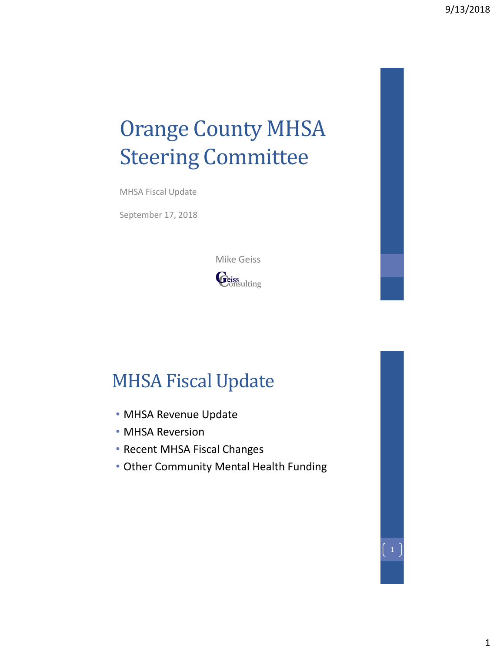# Orange County MHSA Steering Committee

MHSA Fiscal Update

September 17, 2018



# MHSA Fiscal Update

- MHSA Revenue Update
- MHSA Reversion
- Recent MHSA Fiscal Changes
- Other Community Mental Health Funding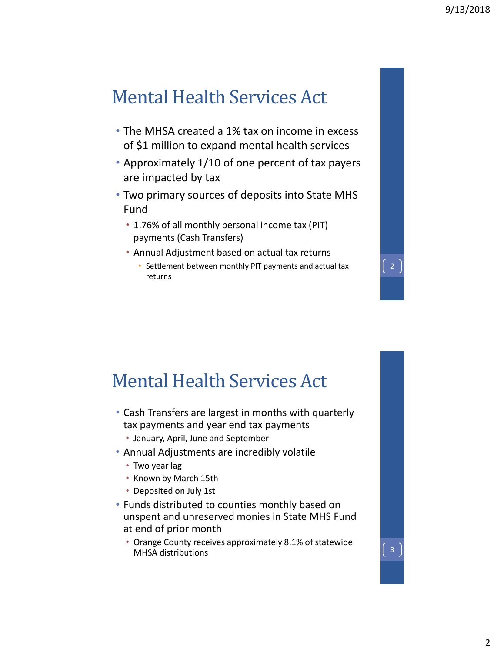# Mental Health Services Act

- The MHSA created a 1% tax on income in excess of \$1 million to expand mental health services
- Approximately 1/10 of one percent of tax payers are impacted by tax
- Two primary sources of deposits into State MHS Fund
	- 1.76% of all monthly personal income tax (PIT) payments (Cash Transfers)
	- Annual Adjustment based on actual tax returns
		- Settlement between monthly PIT payments and actual tax returns

### Mental Health Services Act

- Cash Transfers are largest in months with quarterly tax payments and year end tax payments
	- January, April, June and September
- Annual Adjustments are incredibly volatile
	- Two year lag
	- Known by March 15th
	- Deposited on July 1st
- Funds distributed to counties monthly based on unspent and unreserved monies in State MHS Fund at end of prior month
	- Orange County receives approximately 8.1% of statewide Orange County receives approximately 6.1% or statewide<br>MHSA distributions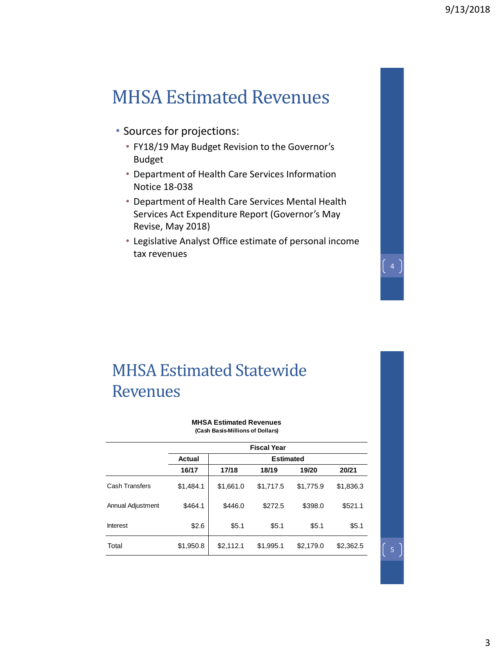### MHSA Estimated Revenues

- Sources for projections:
	- FY18/19 May Budget Revision to the Governor's Budget
	- Department of Health Care Services Information Notice 18-038
	- Department of Health Care Services Mental Health Services Act Expenditure Report (Governor's May Revise, May 2018)
	- Legislative Analyst Office estimate of personal income tax revenues

#### MHSA Estimated Statewide Revenues

**MHSA Estimated Revenues (Cash Basis-Millions of Dollars)**

|                   | <b>Fiscal Year</b> |                  |           |           |           |  |  |  |  |
|-------------------|--------------------|------------------|-----------|-----------|-----------|--|--|--|--|
|                   | Actual             | <b>Estimated</b> |           |           |           |  |  |  |  |
|                   | 16/17              | 17/18            | 18/19     | 19/20     | 20/21     |  |  |  |  |
| Cash Transfers    | \$1,484.1          | \$1,661.0        | \$1,717.5 | \$1,775.9 | \$1,836.3 |  |  |  |  |
| Annual Adjustment | \$464.1            | \$446.0          | \$272.5   | \$398.0   | \$521.1   |  |  |  |  |
| <b>Interest</b>   | \$2.6              | \$5.1            | \$5.1     | \$5.1     | \$5.1     |  |  |  |  |
| Total             | \$1,950.8          | \$2,112.1        | \$1,995.1 | \$2,179.0 | \$2,362.5 |  |  |  |  |

 $\begin{bmatrix} 5 \end{bmatrix}$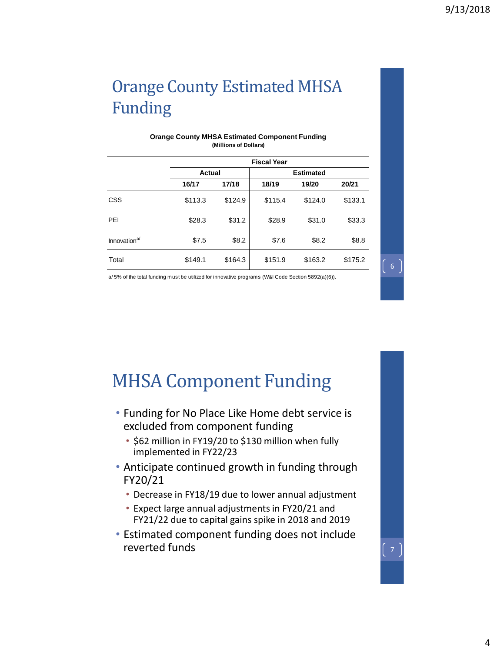# Orange County Estimated MHSA Funding

|                          | <b>Fiscal Year</b> |         |         |                  |         |  |  |  |  |
|--------------------------|--------------------|---------|---------|------------------|---------|--|--|--|--|
|                          |                    | Actual  |         | <b>Estimated</b> |         |  |  |  |  |
|                          | 16/17              | 17/18   | 18/19   | 19/20            | 20/21   |  |  |  |  |
| <b>CSS</b>               | \$113.3            | \$124.9 | \$115.4 | \$124.0          | \$133.1 |  |  |  |  |
| PEI                      | \$28.3             | \$31.2  | \$28.9  | \$31.0           | \$33.3  |  |  |  |  |
| Innovation <sup>a/</sup> | \$7.5              | \$8.2   | \$7.6   | \$8.2            | \$8.8   |  |  |  |  |
| Total                    | \$149.1            | \$164.3 | \$151.9 | \$163.2          | \$175.2 |  |  |  |  |

#### **Orange County MHSA Estimated Component Funding (Millions of Dollars)**

a/ 5% of the total funding must be utilized for innovative programs (W&I Code Section 5892(a)(6)).

MHSA Component Funding

- Funding for No Place Like Home debt service is excluded from component funding
	- \$62 million in FY19/20 to \$130 million when fully implemented in FY22/23
- Anticipate continued growth in funding through FY20/21
	- Decrease in FY18/19 due to lower annual adjustment
	- Expect large annual adjustments in FY20/21 and FY21/22 due to capital gains spike in 2018 and 2019
- Estimated component funding does not include reverted funds  $\begin{bmatrix} 7 \end{bmatrix}$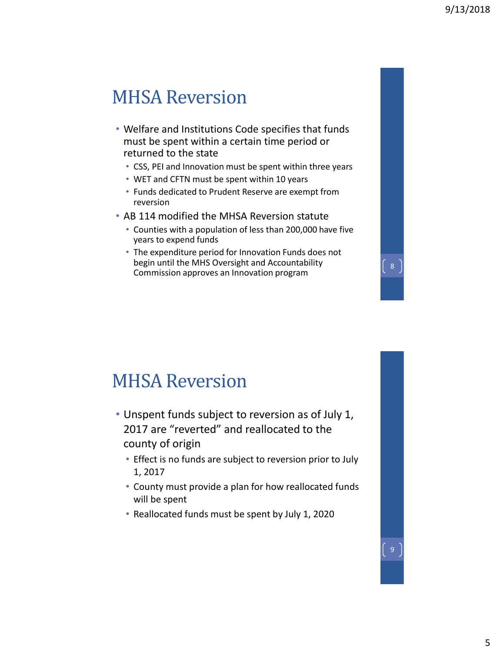#### MHSA Reversion

- Welfare and Institutions Code specifies that funds must be spent within a certain time period or returned to the state
	- CSS, PEI and Innovation must be spent within three years
	- WET and CFTN must be spent within 10 years
	- Funds dedicated to Prudent Reserve are exempt from reversion
- AB 114 modified the MHSA Reversion statute
	- Counties with a population of less than 200,000 have five years to expend funds
	- The expenditure period for Innovation Funds does not begin until the MHS Oversight and Accountability Commission approves an Innovation program

#### MHSA Reversion

- Unspent funds subject to reversion as of July 1, 2017 are "reverted" and reallocated to the county of origin
	- Effect is no funds are subject to reversion prior to July 1, 2017
	- County must provide a plan for how reallocated funds will be spent
	- Reallocated funds must be spent by July 1, 2020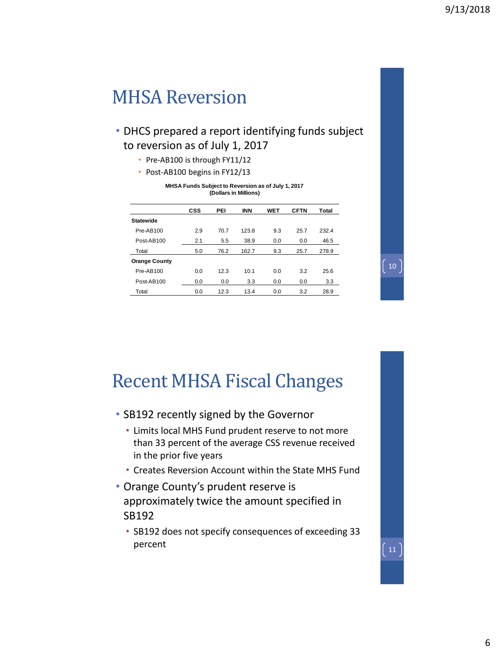#### MHSA Reversion

- DHCS prepared a report identifying funds subject to reversion as of July 1, 2017
	- Pre-AB100 is through FY11/12
	- Post-AB100 begins in FY12/13

| (Dollars in Millions) |            |      |            |            |             |       |
|-----------------------|------------|------|------------|------------|-------------|-------|
|                       | <b>CSS</b> | PEI  | <b>INN</b> | <b>WET</b> | <b>CFTN</b> | Total |
| <b>Statewide</b>      |            |      |            |            |             |       |
| Pre-AB100             | 2.9        | 70.7 | 123.8      | 9.3        | 25.7        | 232.4 |
| Post-AB100            | 2.1        | 5.5  | 38.9       | 0.0        | 0.0         | 46.5  |
| Total                 | 5.0        | 76.2 | 162.7      | 9.3        | 25.7        | 278.9 |
| <b>Orange County</b>  |            |      |            |            |             |       |
| Pre-AB100             | 0.0        | 12.3 | 10.1       | 0.0        | 3.2         | 25.6  |
| Post-AB100            | 0.0        | 0.0  | 3.3        | 0.0        | 0.0         | 3.3   |
| Total                 | 0.0        | 12.3 | 13.4       | 0.0        | 3.2         | 28.9  |

**MHSA Funds Subject to Reversion as of July 1, 2017**

#### Recent MHSA Fiscal Changes

- SB192 recently signed by the Governor
	- Limits local MHS Fund prudent reserve to not more than 33 percent of the average CSS revenue received in the prior five years
	- Creates Reversion Account within the State MHS Fund
- Orange County's prudent reserve is approximately twice the amount specified in SB192
	- SB192 does not specify consequences of exceeding 33 percent

10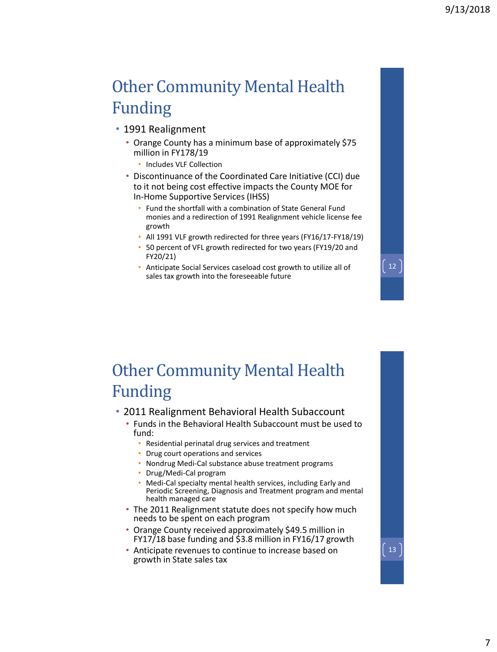12

13

#### Other Community Mental Health Funding

- 1991 Realignment
	- Orange County has a minimum base of approximately \$75 million in FY178/19
		- Includes VLF Collection
	- Discontinuance of the Coordinated Care Initiative (CCI) due to it not being cost effective impacts the County MOE for In-Home Supportive Services (IHSS)
		- Fund the shortfall with a combination of State General Fund monies and a redirection of 1991 Realignment vehicle license fee growth
		- All 1991 VLF growth redirected for three years (FY16/17-FY18/19)
		- 50 percent of VFL growth redirected for two years (FY19/20 and FY20/21)
		- Anticipate Social Services caseload cost growth to utilize all of sales tax growth into the foreseeable future

#### Other Community Mental Health Funding

#### • 2011 Realignment Behavioral Health Subaccount

- Funds in the Behavioral Health Subaccount must be used to fund:
	- Residential perinatal drug services and treatment
	- Drug court operations and services
	- Nondrug Medi-Cal substance abuse treatment programs
	- Drug/Medi-Cal program
	- Medi-Cal specialty mental health services, including Early and Periodic Screening, Diagnosis and Treatment program and mental health managed care
- The 2011 Realignment statute does not specify how much needs to be spent on each program
- Orange County received approximately \$49.5 million in FY17/18 base funding and \$3.8 million in FY16/17 growth
- Anticipate revenues to continue to increase based on growth in State sales tax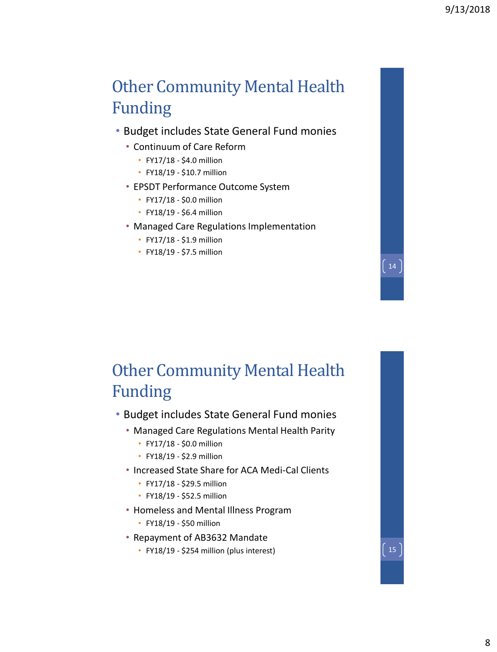#### Other Community Mental Health Funding

- Budget includes State General Fund monies
	- Continuum of Care Reform
		- FY17/18 \$4.0 million
		- FY18/19 \$10.7 million
	- EPSDT Performance Outcome System
		- FY17/18 \$0.0 million
		- FY18/19 \$6.4 million
	- Managed Care Regulations Implementation
		- FY17/18 \$1.9 million
		- FY18/19 \$7.5 million

#### Other Community Mental Health Funding

- Budget includes State General Fund monies
	- Managed Care Regulations Mental Health Parity
		- FY17/18 \$0.0 million
		- FY18/19 \$2.9 million
	- Increased State Share for ACA Medi-Cal Clients
		- FY17/18 \$29.5 million
		- FY18/19 \$52.5 million
	- Homeless and Mental Illness Program
		- FY18/19 \$50 million
	- Repayment of AB3632 Mandate
		- FY18/19 \$254 million (plus interest)  $\begin{bmatrix} 15 \end{bmatrix}$

14